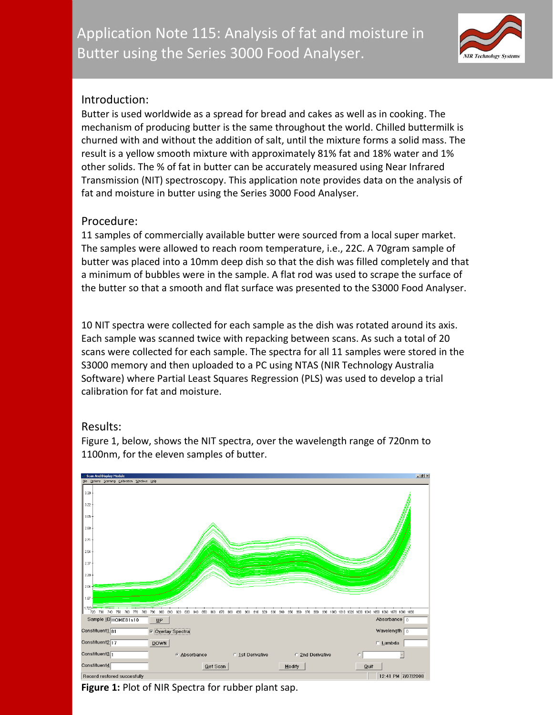

## Introduction:

Butter is used worldwide as a spread for bread and cakes as well as in cooking. The mechanism of producing butter is the same throughout the world. Chilled buttermilk is churned with and without the addition of salt, until the mixture forms a solid mass. The result is a yellow smooth mixture with approximately 81% fat and 18% water and 1% other solids. The % of fat in butter can be accurately measured using Near Infrared Transmission (NIT) spectroscopy. This application note provides data on the analysis of fat and moisture in butter using the Series 3000 Food Analyser.

## Procedure:

11 samples of commercially available butter were sourced from a local super market. The samples were allowed to reach room temperature, i.e., 22C. A 70gram sample of butter was placed into a 10mm deep dish so that the dish was filled completely and that a minimum of bubbles were in the sample. A flat rod was used to scrape the surface of the butter so that a smooth and flat surface was presented to the S3000 Food Analyser.

10 NIT spectra were collected for each sample as the dish was rotated around its axis. Each sample was scanned twice with repacking between scans. As such a total of 20 scans were collected for each sample. The spectra for all 11 samples were stored in the S3000 memory and then uploaded to a PC using NTAS (NIR Technology Australia Software) where Partial Least Squares Regression (PLS) was used to develop a trial calibration for fat and moisture.

## Results:



Figure 1, below, shows the NIT spectra, over the wavelength range of 720nm to 1100nm, for the eleven samples of butter.

**Figure 1:** Plot of NIR Spectra for rubber plant sap.